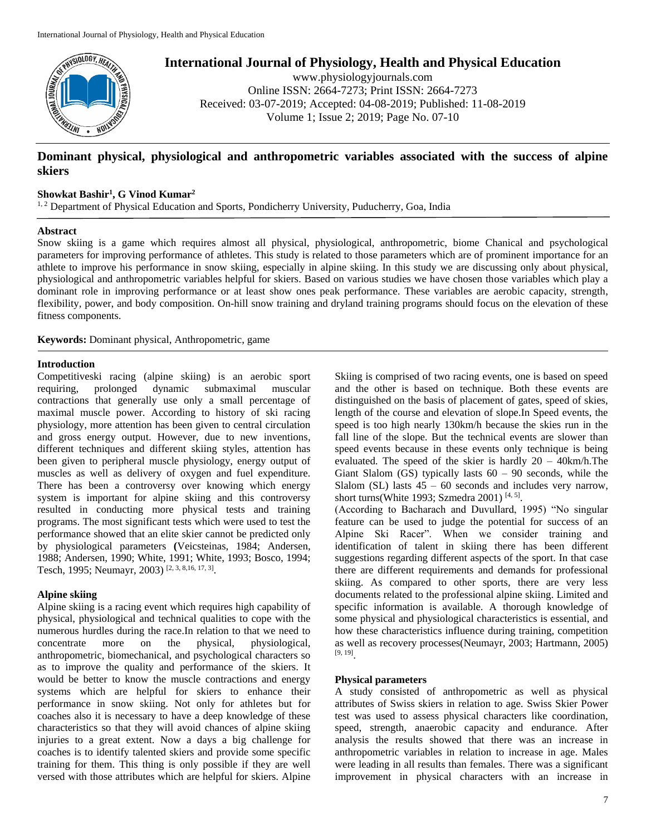

**International Journal of Physiology, Health and Physical Education**

www.physiologyjournals.com Online ISSN: 2664-7273; Print ISSN: 2664-7273 Received: 03-07-2019; Accepted: 04-08-2019; Published: 11-08-2019 Volume 1; Issue 2; 2019; Page No. 07-10

# **Dominant physical, physiological and anthropometric variables associated with the success of alpine skiers**

# **Showkat Bashir<sup>1</sup> , G Vinod Kumar<sup>2</sup>**

<sup>1, 2</sup> Department of Physical Education and Sports, Pondicherry University, Puducherry, Goa, India

# **Abstract**

Snow skiing is a game which requires almost all physical, physiological, anthropometric, biome Chanical and psychological parameters for improving performance of athletes. This study is related to those parameters which are of prominent importance for an athlete to improve his performance in snow skiing, especially in alpine skiing. In this study we are discussing only about physical, physiological and anthropometric variables helpful for skiers. Based on various studies we have chosen those variables which play a dominant role in improving performance or at least show ones peak performance. These variables are aerobic capacity, strength, flexibility, power, and body composition. On-hill snow training and dryland training programs should focus on the elevation of these fitness components.

**Keywords:** Dominant physical, Anthropometric, game

#### **Introduction**

Competitiveski racing (alpine skiing) is an aerobic sport requiring, prolonged dynamic submaximal muscular contractions that generally use only a small percentage of maximal muscle power. According to history of ski racing physiology, more attention has been given to central circulation and gross energy output. However, due to new inventions, different techniques and different skiing styles, attention has been given to peripheral muscle physiology, energy output of muscles as well as delivery of oxygen and fuel expenditure. There has been a controversy over knowing which energy system is important for alpine skiing and this controversy resulted in conducting more physical tests and training programs. The most significant tests which were used to test the performance showed that an elite skier cannot be predicted only by physiological parameters **(**Veicsteinas, 1984; Andersen, 1988; Andersen, 1990; White, 1991; White, 1993; Bosco, 1994; Tesch, 1995; Neumayr, 2003)<sup>[2, 3, 8,16, 17, 3]</sup>.

# **Alpine skiing**

Alpine skiing is a racing event which requires high capability of physical, physiological and technical qualities to cope with the numerous hurdles during the race.In relation to that we need to concentrate more on the physical, physiological, anthropometric, biomechanical, and psychological characters so as to improve the quality and performance of the skiers. It would be better to know the muscle contractions and energy systems which are helpful for skiers to enhance their performance in snow skiing. Not only for athletes but for coaches also it is necessary to have a deep knowledge of these characteristics so that they will avoid chances of alpine skiing injuries to a great extent. Now a days a big challenge for coaches is to identify talented skiers and provide some specific training for them. This thing is only possible if they are well versed with those attributes which are helpful for skiers. Alpine

Skiing is comprised of two racing events, one is based on speed and the other is based on technique. Both these events are distinguished on the basis of placement of gates, speed of skies, length of the course and elevation of slope.In Speed events, the speed is too high nearly 130km/h because the skies run in the fall line of the slope. But the technical events are slower than speed events because in these events only technique is being evaluated. The speed of the skier is hardly 20 – 40km/h.The Giant Slalom (GS) typically lasts  $60 - 90$  seconds, while the Slalom (SL) lasts  $45 - 60$  seconds and includes very narrow, short turns(White 1993; Szmedra 2001)<sup>[4, 5]</sup>.

(According to Bacharach and Duvullard, 1995) "No singular feature can be used to judge the potential for success of an Alpine Ski Racer". When we consider training and identification of talent in skiing there has been different suggestions regarding different aspects of the sport. In that case there are different requirements and demands for professional skiing. As compared to other sports, there are very less documents related to the professional alpine skiing. Limited and specific information is available. A thorough knowledge of some physical and physiological characteristics is essential, and how these characteristics influence during training, competition as well as recovery processes(Neumayr, 2003; Hartmann, 2005) [9, 19] .

## **Physical parameters**

A study consisted of anthropometric as well as physical attributes of Swiss skiers in relation to age. Swiss Skier Power test was used to assess physical characters like coordination, speed, strength, anaerobic capacity and endurance. After analysis the results showed that there was an increase in anthropometric variables in relation to increase in age. Males were leading in all results than females. There was a significant improvement in physical characters with an increase in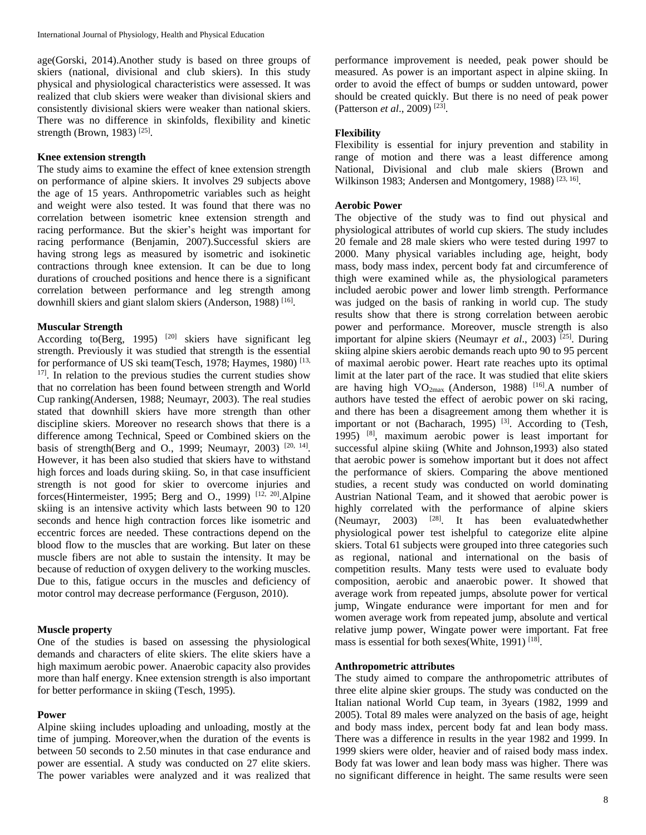age(Gorski, 2014).Another study is based on three groups of skiers (national, divisional and club skiers). In this study physical and physiological characteristics were assessed. It was realized that club skiers were weaker than divisional skiers and consistently divisional skiers were weaker than national skiers. There was no difference in skinfolds, flexibility and kinetic strength (Brown, 1983)<sup>[25]</sup>.

#### **Knee extension strength**

The study aims to examine the effect of knee extension strength on performance of alpine skiers. It involves 29 subjects above the age of 15 years. Anthropometric variables such as height and weight were also tested. It was found that there was no correlation between isometric knee extension strength and racing performance. But the skier's height was important for racing performance (Benjamin, 2007).Successful skiers are having strong legs as measured by isometric and isokinetic contractions through knee extension. It can be due to long durations of crouched positions and hence there is a significant correlation between performance and leg strength among downhill skiers and giant slalom skiers (Anderson, 1988)<sup>[16]</sup>.

## **Muscular Strength**

According to(Berg, 1995) <sup>[20]</sup> skiers have significant leg strength. Previously it was studied that strength is the essential for performance of US ski team(Tesch, 1978; Haymes, 1980)<sup>[13,</sup> <sup>17]</sup>. In relation to the previous studies the current studies show that no correlation has been found between strength and World Cup ranking(Andersen, 1988; Neumayr, 2003). The real studies stated that downhill skiers have more strength than other discipline skiers. Moreover no research shows that there is a difference among Technical, Speed or Combined skiers on the basis of strength(Berg and O., 1999; Neumayr, 2003)<sup>[20, 14]</sup>. However, it has been also studied that skiers have to withstand high forces and loads during skiing. So, in that case insufficient strength is not good for skier to overcome injuries and forces(Hintermeister, 1995; Berg and O., 1999)<sup>[12, 20]</sup>.Alpine skiing is an intensive activity which lasts between 90 to 120 seconds and hence high contraction forces like isometric and eccentric forces are needed. These contractions depend on the blood flow to the muscles that are working. But later on these muscle fibers are not able to sustain the intensity. It may be because of reduction of oxygen delivery to the working muscles. Due to this, fatigue occurs in the muscles and deficiency of motor control may decrease performance (Ferguson, 2010).

#### **Muscle property**

One of the studies is based on assessing the physiological demands and characters of elite skiers. The elite skiers have a high maximum aerobic power. Anaerobic capacity also provides more than half energy. Knee extension strength is also important for better performance in skiing (Tesch, 1995).

#### **Power**

Alpine skiing includes uploading and unloading, mostly at the time of jumping. Moreover,when the duration of the events is between 50 seconds to 2.50 minutes in that case endurance and power are essential. A study was conducted on 27 elite skiers. The power variables were analyzed and it was realized that performance improvement is needed, peak power should be measured. As power is an important aspect in alpine skiing. In order to avoid the effect of bumps or sudden untoward, power should be created quickly. But there is no need of peak power (Patterson *et al*., 2009) [23] .

### **Flexibility**

Flexibility is essential for injury prevention and stability in range of motion and there was a least difference among National, Divisional and club male skiers (Brown and Wilkinson 1983; Andersen and Montgomery, 1988)<sup>[23, 16]</sup>.

#### **Aerobic Power**

The objective of the study was to find out physical and physiological attributes of world cup skiers. The study includes 20 female and 28 male skiers who were tested during 1997 to 2000. Many physical variables including age, height, body mass, body mass index, percent body fat and circumference of thigh were examined while as, the physiological parameters included aerobic power and lower limb strength. Performance was judged on the basis of ranking in world cup. The study results show that there is strong correlation between aerobic power and performance. Moreover, muscle strength is also important for alpine skiers (Neumayr *et al.*, 2003)<sup>[25]</sup>. During skiing alpine skiers aerobic demands reach upto 90 to 95 percent of maximal aerobic power. Heart rate reaches upto its optimal limit at the later part of the race. It was studied that elite skiers are having high VO<sub>2max</sub> (Anderson, 1988)<sup>[16]</sup>.A number of authors have tested the effect of aerobic power on ski racing, and there has been a disagreement among them whether it is important or not (Bacharach, 1995)  $[3]$ . According to (Tesh, 1995) [8] , maximum aerobic power is least important for successful alpine skiing (White and Johnson,1993) also stated that aerobic power is somehow important but it does not affect the performance of skiers. Comparing the above mentioned studies, a recent study was conducted on world dominating Austrian National Team, and it showed that aerobic power is highly correlated with the performance of alpine skiers (Neumayr, 2003) <sup>[28]</sup>. It has been evaluatedwhether physiological power test ishelpful to categorize elite alpine skiers. Total 61 subjects were grouped into three categories such as regional, national and international on the basis of competition results. Many tests were used to evaluate body composition, aerobic and anaerobic power. It showed that average work from repeated jumps, absolute power for vertical jump, Wingate endurance were important for men and for women average work from repeated jump, absolute and vertical relative jump power, Wingate power were important. Fat free mass is essential for both sexes(White, 1991)<sup>[18]</sup>.

# **Anthropometric attributes**

The study aimed to compare the anthropometric attributes of three elite alpine skier groups. The study was conducted on the Italian national World Cup team, in 3years (1982, 1999 and 2005). Total 89 males were analyzed on the basis of age, height and body mass index, percent body fat and lean body mass. There was a difference in results in the year 1982 and 1999. In 1999 skiers were older, heavier and of raised body mass index. Body fat was lower and lean body mass was higher. There was no significant difference in height. The same results were seen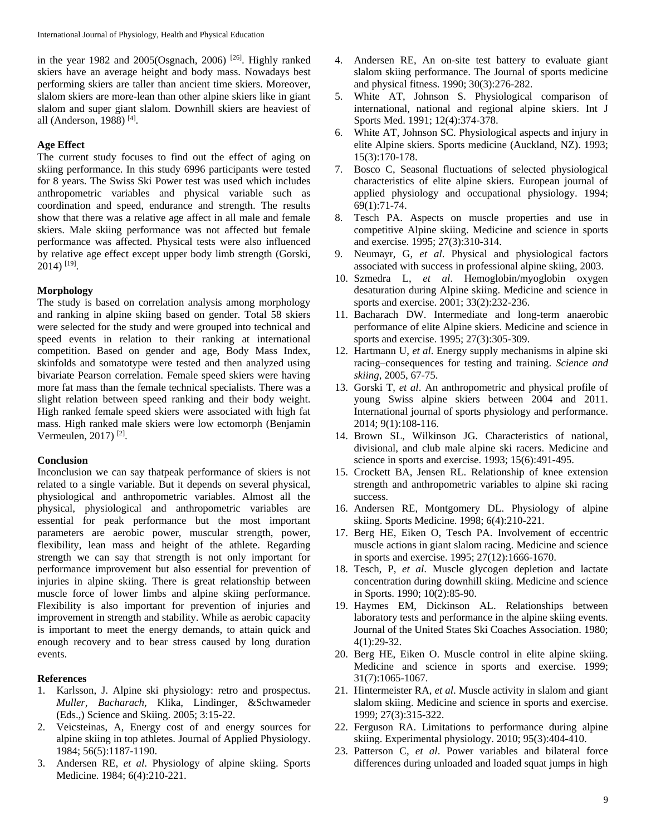in the year 1982 and 2005(Osgnach, 2006)<sup>[26]</sup>. Highly ranked skiers have an average height and body mass. Nowadays best performing skiers are taller than ancient time skiers. Moreover, slalom skiers are more-lean than other alpine skiers like in giant slalom and super giant slalom. Downhill skiers are heaviest of all (Anderson, 1988)<sup>[4]</sup>.

# **Age Effect**

The current study focuses to find out the effect of aging on skiing performance. In this study 6996 participants were tested for 8 years. The Swiss Ski Power test was used which includes anthropometric variables and physical variable such as coordination and speed, endurance and strength. The results show that there was a relative age affect in all male and female skiers. Male skiing performance was not affected but female performance was affected. Physical tests were also influenced by relative age effect except upper body limb strength (Gorski, 2014) [19] .

#### **Morphology**

The study is based on correlation analysis among morphology and ranking in alpine skiing based on gender. Total 58 skiers were selected for the study and were grouped into technical and speed events in relation to their ranking at international competition. Based on gender and age, Body Mass Index, skinfolds and somatotype were tested and then analyzed using bivariate Pearson correlation. Female speed skiers were having more fat mass than the female technical specialists. There was a slight relation between speed ranking and their body weight. High ranked female speed skiers were associated with high fat mass. High ranked male skiers were low ectomorph (Benjamin Vermeulen, 2017)<sup>[2]</sup>.

# **Conclusion**

Inconclusion we can say thatpeak performance of skiers is not related to a single variable. But it depends on several physical, physiological and anthropometric variables. Almost all the physical, physiological and anthropometric variables are essential for peak performance but the most important parameters are aerobic power, muscular strength, power, flexibility, lean mass and height of the athlete. Regarding strength we can say that strength is not only important for performance improvement but also essential for prevention of injuries in alpine skiing. There is great relationship between muscle force of lower limbs and alpine skiing performance. Flexibility is also important for prevention of injuries and improvement in strength and stability. While as aerobic capacity is important to meet the energy demands, to attain quick and enough recovery and to bear stress caused by long duration events.

## **References**

- 1. Karlsson, J. Alpine ski physiology: retro and prospectus. *Muller, Bacharach,* Klika, Lindinger, &Schwameder (Eds.,) Science and Skiing. 2005; 3:15-22.
- 2. Veicsteinas, A, Energy cost of and energy sources for alpine skiing in top athletes. Journal of Applied Physiology. 1984; 56(5):1187-1190.
- 3. Andersen RE, *et al*. Physiology of alpine skiing. Sports Medicine. 1984; 6(4):210-221.
- 4. Andersen RE, An on-site test battery to evaluate giant slalom skiing performance. The Journal of sports medicine and physical fitness. 1990; 30(3):276-282.
- 5. White AT, Johnson S. Physiological comparison of international, national and regional alpine skiers. Int J Sports Med. 1991; 12(4):374-378.
- 6. White AT, Johnson SC. Physiological aspects and injury in elite Alpine skiers. Sports medicine (Auckland, NZ). 1993; 15(3):170-178.
- 7. Bosco C, Seasonal fluctuations of selected physiological characteristics of elite alpine skiers. European journal of applied physiology and occupational physiology. 1994; 69(1):71-74.
- 8. Tesch PA. Aspects on muscle properties and use in competitive Alpine skiing. Medicine and science in sports and exercise. 1995; 27(3):310-314.
- 9. Neumayr, G, *et al*. Physical and physiological factors associated with success in professional alpine skiing, 2003.
- 10. Szmedra L, *et al*. Hemoglobin/myoglobin oxygen desaturation during Alpine skiing. Medicine and science in sports and exercise. 2001; 33(2):232-236.
- 11. Bacharach DW. Intermediate and long-term anaerobic performance of elite Alpine skiers. Medicine and science in sports and exercise. 1995; 27(3):305-309.
- 12. Hartmann U, *et al*. Energy supply mechanisms in alpine ski racing–consequences for testing and training. *Science and skiing*, 2005, 67-75.
- 13. Gorski T, *et al*. An anthropometric and physical profile of young Swiss alpine skiers between 2004 and 2011. International journal of sports physiology and performance. 2014; 9(1):108-116.
- 14. Brown SL, Wilkinson JG. Characteristics of national, divisional, and club male alpine ski racers. Medicine and science in sports and exercise. 1993; 15(6):491-495.
- 15. Crockett BA, Jensen RL. Relationship of knee extension strength and anthropometric variables to alpine ski racing success.
- 16. Andersen RE, Montgomery DL. Physiology of alpine skiing. Sports Medicine. 1998; 6(4):210-221.
- 17. Berg HE, Eiken O, Tesch PA. Involvement of eccentric muscle actions in giant slalom racing. Medicine and science in sports and exercise. 1995; 27(12):1666-1670.
- 18. Tesch, P, *et al*. Muscle glycogen depletion and lactate concentration during downhill skiing. Medicine and science in Sports. 1990; 10(2):85-90.
- 19. Haymes EM, Dickinson AL. Relationships between laboratory tests and performance in the alpine skiing events. Journal of the United States Ski Coaches Association. 1980; 4(1):29-32.
- 20. Berg HE, Eiken O. Muscle control in elite alpine skiing. Medicine and science in sports and exercise. 1999; 31(7):1065-1067.
- 21. Hintermeister RA, *et al*. Muscle activity in slalom and giant slalom skiing. Medicine and science in sports and exercise. 1999; 27(3):315-322.
- 22. Ferguson RA. Limitations to performance during alpine skiing. Experimental physiology. 2010; 95(3):404-410.
- 23. Patterson C, *et al*. Power variables and bilateral force differences during unloaded and loaded squat jumps in high